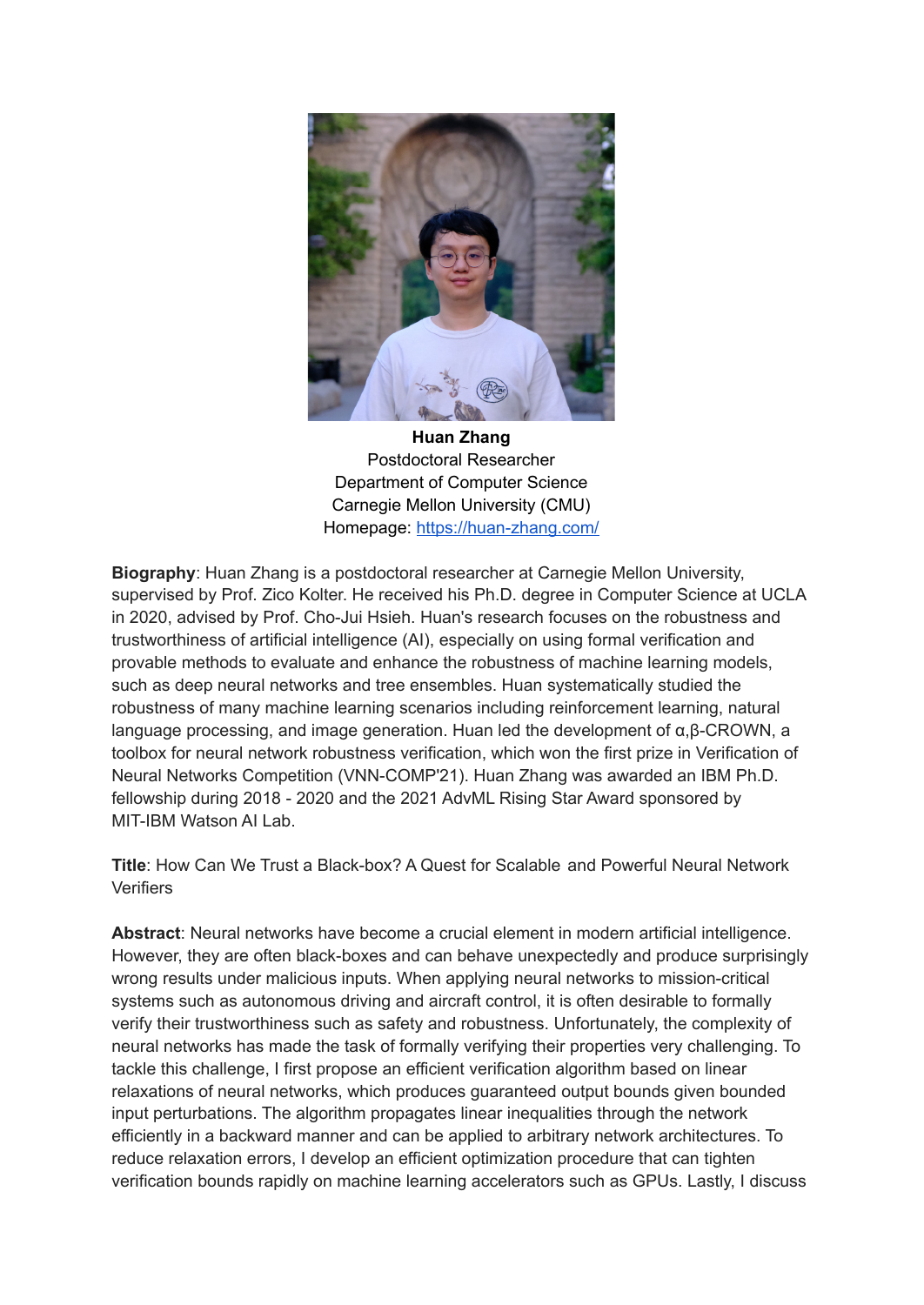

**Huan Zhang** Postdoctoral Researcher Department of Computer Science Carnegie Mellon University (CMU) Homepage: <https://huan-zhang.com/>

**Biography**: Huan Zhang is a postdoctoral researcher at Carnegie Mellon University, supervised by Prof. Zico Kolter. He received his Ph.D. degree in Computer Science at UCLA in 2020, advised by Prof. Cho-Jui Hsieh. Huan's research focuses on the robustness and trustworthiness of artificial intelligence (AI), especially on using formal verification and provable methods to evaluate and enhance the robustness of machine learning models, such as deep neural networks and tree ensembles. Huan systematically studied the robustness of many machine learning scenarios including reinforcement learning, natural language processing, and image generation. Huan led the development of α,β-CROWN, a toolbox for neural network robustness verification, which won the first prize in Verification of Neural Networks Competition (VNN-COMP'21). Huan Zhang was awarded an IBM Ph.D. fellowship during 2018 - 2020 and the 2021 AdvML Rising Star Award sponsored by MIT-IBM Watson AI Lab.

**Title**: How Can We Trust a Black-box? A Quest for Scalable and Powerful Neural Network **Verifiers** 

**Abstract**: Neural networks have become a crucial element in modern artificial intelligence. However, they are often black-boxes and can behave unexpectedly and produce surprisingly wrong results under malicious inputs. When applying neural networks to mission-critical systems such as autonomous driving and aircraft control, it is often desirable to formally verify their trustworthiness such as safety and robustness. Unfortunately, the complexity of neural networks has made the task of formally verifying their properties very challenging. To tackle this challenge, I first propose an efficient verification algorithm based on linear relaxations of neural networks, which produces guaranteed output bounds given bounded input perturbations. The algorithm propagates linear inequalities through the network efficiently in a backward manner and can be applied to arbitrary network architectures. To reduce relaxation errors, I develop an efficient optimization procedure that can tighten verification bounds rapidly on machine learning accelerators such as GPUs. Lastly, I discuss